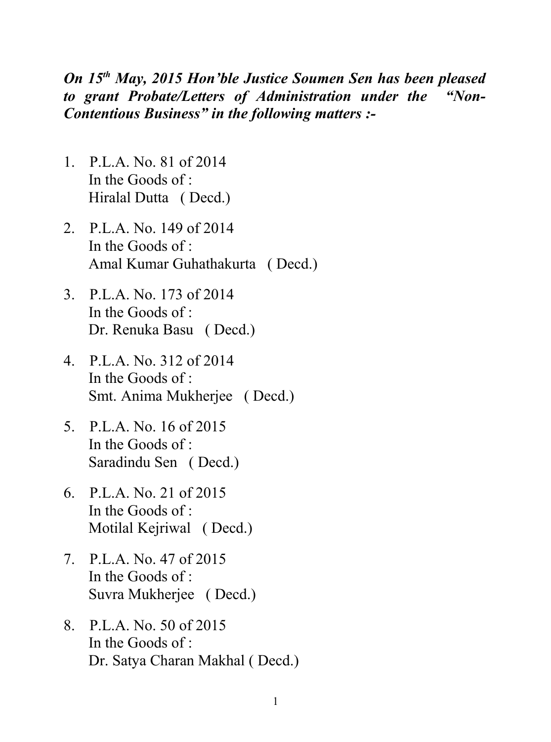## *On 15th May, 2015 Hon'ble Justice Soumen Sen has been pleased to grant Probate/Letters of Administration under the "Non-Contentious Business" in the following matters :-*

- 1. P.L.A. No. 81 of 2014 In the Goods of : Hiralal Dutta ( Decd.)
- 2. P.L.A. No. 149 of 2014 In the Goods of : Amal Kumar Guhathakurta ( Decd.)
- 3. P.L.A. No. 173 of 2014 In the Goods of : Dr. Renuka Basu ( Decd.)
- 4. P.L.A. No. 312 of 2014 In the Goods of : Smt. Anima Mukherjee ( Decd.)
- 5. P.L.A. No. 16 of 2015 In the Goods of : Saradindu Sen ( Decd.)
- 6. P.L.A. No. 21 of 2015 In the Goods of : Motilal Kejriwal ( Decd.)
- 7. P.L.A. No. 47 of 2015 In the Goods of : Suvra Mukherjee ( Decd.)
- 8. P.L.A. No. 50 of 2015 In the Goods of : Dr. Satya Charan Makhal ( Decd.)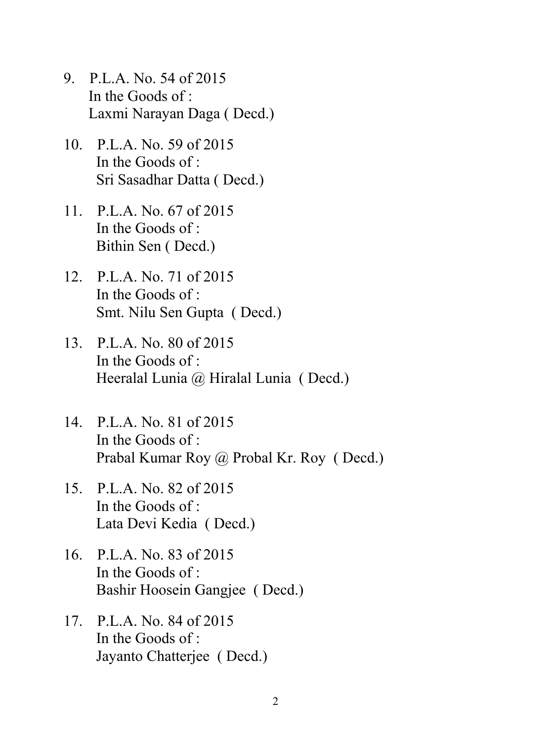- 9. P.L.A. No. 54 of 2015 In the Goods of : Laxmi Narayan Daga ( Decd.)
- 10. P.L.A. No. 59 of 2015 In the Goods of : Sri Sasadhar Datta ( Decd.)
- 11. P.L.A. No. 67 of 2015 In the Goods of : Bithin Sen ( Decd.)
- 12. P.L.A. No. 71 of 2015 In the Goods of : Smt. Nilu Sen Gupta ( Decd.)
- 13. P.L.A. No. 80 of 2015 In the Goods of : Heeralal Lunia @ Hiralal Lunia ( Decd.)
- 14. P.L.A. No. 81 of 2015 In the Goods of : Prabal Kumar Roy @ Probal Kr. Roy ( Decd.)
- 15. P.L.A. No. 82 of 2015 In the Goods of : Lata Devi Kedia ( Decd.)
- 16. P.L.A. No. 83 of 2015 In the Goods of : Bashir Hoosein Gangjee ( Decd.)
- 17. P.L.A. No. 84 of 2015 In the Goods of : Jayanto Chatterjee ( Decd.)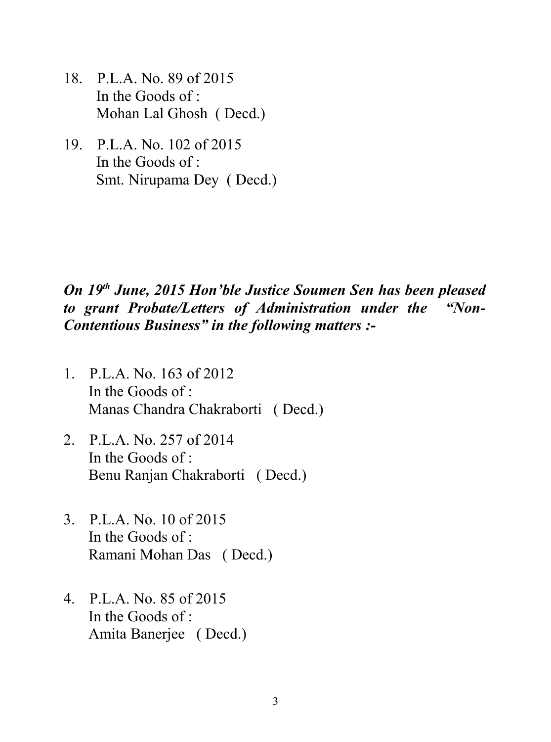- 18. P.L.A. No. 89 of 2015 In the Goods of : Mohan Lal Ghosh ( Decd.)
- 19. P.L.A. No. 102 of 2015 In the Goods of : Smt. Nirupama Dey ( Decd.)

## *On 19th June, 2015 Hon'ble Justice Soumen Sen has been pleased to grant Probate/Letters of Administration under the "Non-Contentious Business" in the following matters :-*

- 1. P.L.A. No. 163 of 2012 In the Goods of : Manas Chandra Chakraborti ( Decd.)
- 2. P.L.A. No. 257 of 2014 In the Goods of : Benu Ranjan Chakraborti ( Decd.)
- 3. P.L.A. No. 10 of 2015 In the Goods of : Ramani Mohan Das ( Decd.)
- 4. P.L.A. No. 85 of 2015 In the Goods of : Amita Banerjee ( Decd.)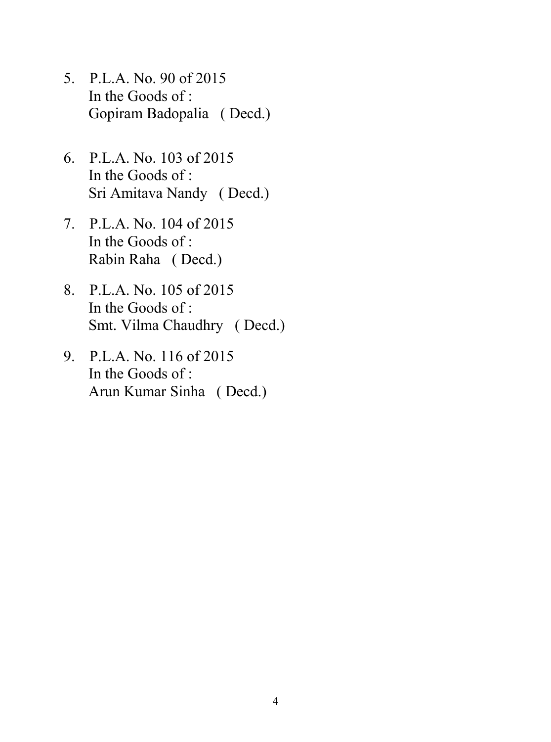- 5. P.L.A. No. 90 of 2015 In the Goods of : Gopiram Badopalia ( Decd.)
- 6. P.L.A. No. 103 of 2015 In the Goods of : Sri Amitava Nandy ( Decd.)
- 7. P.L.A. No. 104 of 2015 In the Goods of : Rabin Raha ( Decd.)
- 8. P.L.A. No. 105 of 2015 In the Goods of : Smt. Vilma Chaudhry ( Decd.)
- 9. P.L.A. No. 116 of 2015 In the Goods of : Arun Kumar Sinha ( Decd.)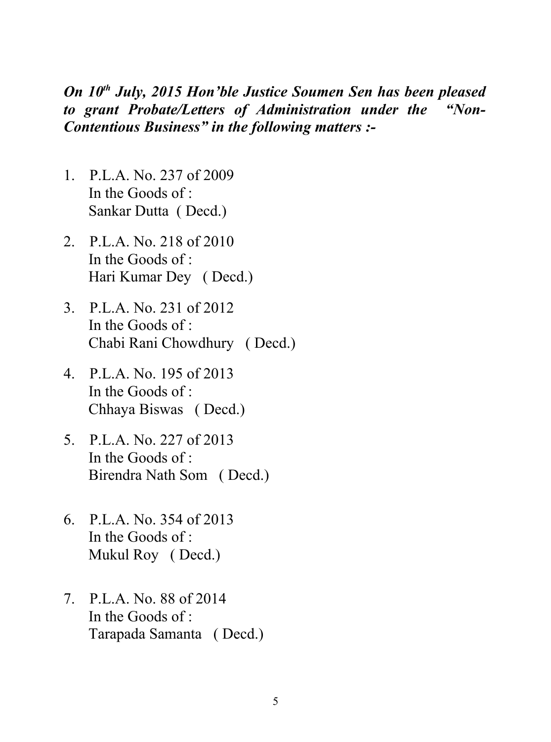## *On 10th July, 2015 Hon'ble Justice Soumen Sen has been pleased to grant Probate/Letters of Administration under the "Non-Contentious Business" in the following matters :-*

- 1. P.L.A. No. 237 of 2009 In the Goods of : Sankar Dutta ( Decd.)
- 2. P.L.A. No. 218 of 2010 In the Goods of  $\cdot$ Hari Kumar Dey ( Decd.)
- 3. P.L.A. No. 231 of 2012 In the Goods of : Chabi Rani Chowdhury ( Decd.)
- 4. P.L.A. No. 195 of 2013 In the Goods of : Chhaya Biswas ( Decd.)
- 5. P.L.A. No. 227 of 2013 In the Goods of  $\cdot$ Birendra Nath Som ( Decd.)
- 6. P.L.A. No. 354 of 2013 In the Goods of : Mukul Roy ( Decd.)
- 7. P.L.A. No. 88 of 2014 In the Goods of  $\cdot$ Tarapada Samanta ( Decd.)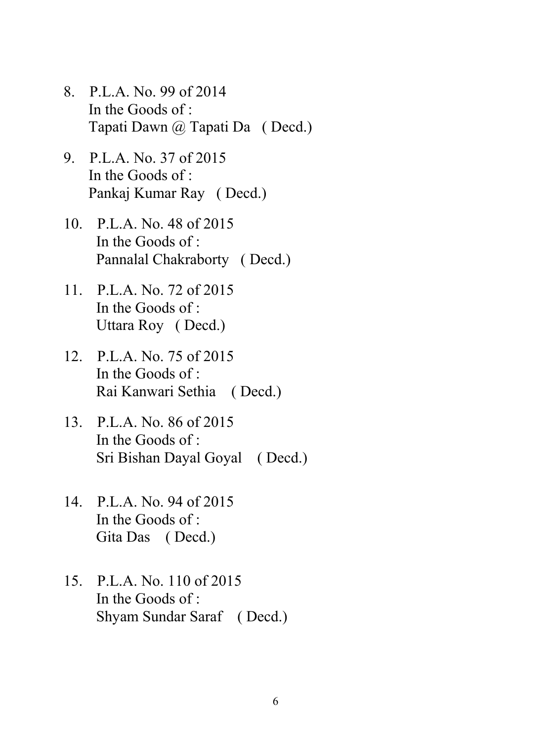- 8. P.L.A. No. 99 of 2014 In the Goods of : Tapati Dawn @ Tapati Da ( Decd.)
- 9. P.L.A. No. 37 of 2015 In the Goods of : Pankaj Kumar Ray ( Decd.)
- 10. P.L.A. No. 48 of 2015 In the Goods of : Pannalal Chakraborty ( Decd.)
- 11. P.L.A. No. 72 of 2015 In the Goods of : Uttara Roy ( Decd.)
- 12. P.L.A. No. 75 of 2015 In the Goods of : Rai Kanwari Sethia ( Decd.)
- 13. P.L.A. No. 86 of 2015 In the Goods of : Sri Bishan Dayal Goyal ( Decd.)
- 14. P.L.A. No. 94 of 2015 In the Goods of : Gita Das ( Decd.)
- 15. P.L.A. No. 110 of 2015 In the Goods of : Shyam Sundar Saraf ( Decd.)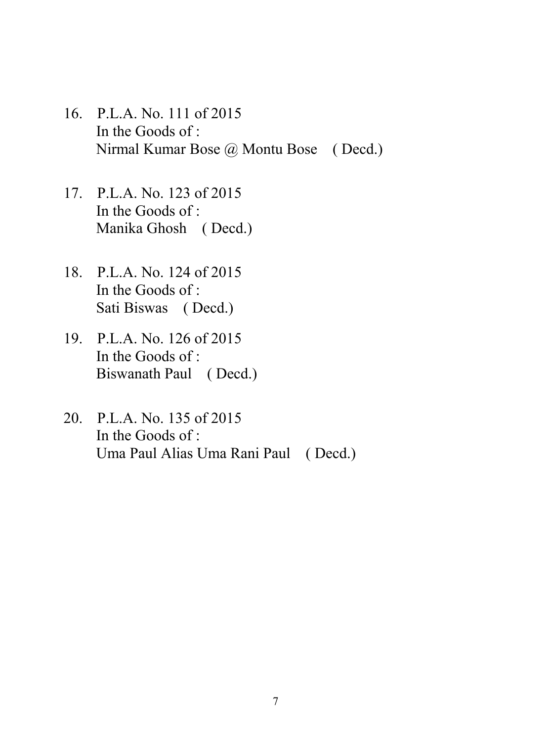- 16. P.L.A. No. 111 of 2015 In the Goods of : Nirmal Kumar Bose @ Montu Bose ( Decd.)
- 17. P.L.A. No. 123 of 2015 In the Goods of : Manika Ghosh ( Decd.)
- 18. P.L.A. No. 124 of 2015 In the Goods of : Sati Biswas ( Decd.)
- 19. P.L.A. No. 126 of 2015 In the Goods of : Biswanath Paul ( Decd.)
- 20. P.L.A. No. 135 of 2015 In the Goods of : Uma Paul Alias Uma Rani Paul ( Decd.)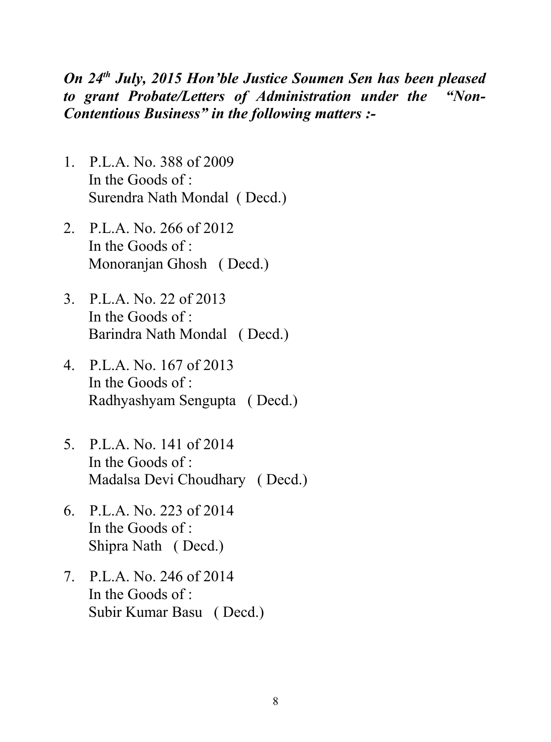## *On 24th July, 2015 Hon'ble Justice Soumen Sen has been pleased to grant Probate/Letters of Administration under the "Non-Contentious Business" in the following matters :-*

- 1. P.L.A. No. 388 of 2009 In the Goods of : Surendra Nath Mondal ( Decd.)
- 2. P.L.A. No. 266 of 2012 In the Goods of : Monoranjan Ghosh ( Decd.)
- 3. P.L.A. No. 22 of 2013 In the Goods of : Barindra Nath Mondal ( Decd.)
- 4. P.L.A. No. 167 of 2013 In the Goods of : Radhyashyam Sengupta ( Decd.)
- 5. P.L.A. No. 141 of 2014 In the Goods of : Madalsa Devi Choudhary ( Decd.)
- 6. P.L.A. No. 223 of 2014 In the Goods of : Shipra Nath ( Decd.)
- 7. P.L.A. No. 246 of 2014 In the Goods of : Subir Kumar Basu ( Decd.)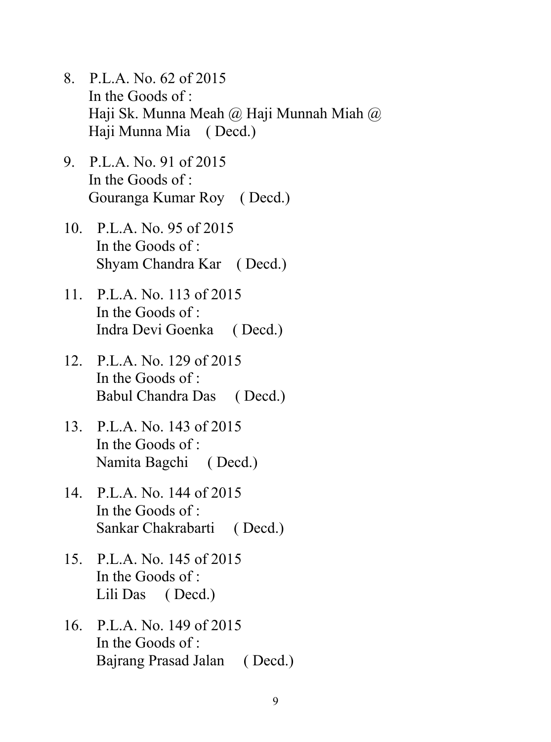- 8. P.L.A. No. 62 of 2015 In the Goods of : Haji Sk. Munna Meah @ Haji Munnah Miah @ Haji Munna Mia ( Decd.)
- 9. P.L.A. No. 91 of 2015 In the Goods of : Gouranga Kumar Roy ( Decd.)
- 10. P.L.A. No. 95 of 2015 In the Goods of : Shyam Chandra Kar ( Decd.)
- 11. P.L.A. No. 113 of 2015 In the Goods of : Indra Devi Goenka ( Decd.)
- 12. P.L.A. No. 129 of 2015 In the Goods of : Babul Chandra Das ( Decd.)
- 13. P.L.A. No. 143 of 2015 In the Goods of : Namita Bagchi ( Decd.)
- 14. P.L.A. No. 144 of 2015 In the Goods of : Sankar Chakrabarti ( Decd.)
- 15. P.L.A. No. 145 of 2015 In the Goods of : Lili Das ( Decd.)
- 16. P.L.A. No. 149 of 2015 In the Goods of : Bajrang Prasad Jalan ( Decd.)